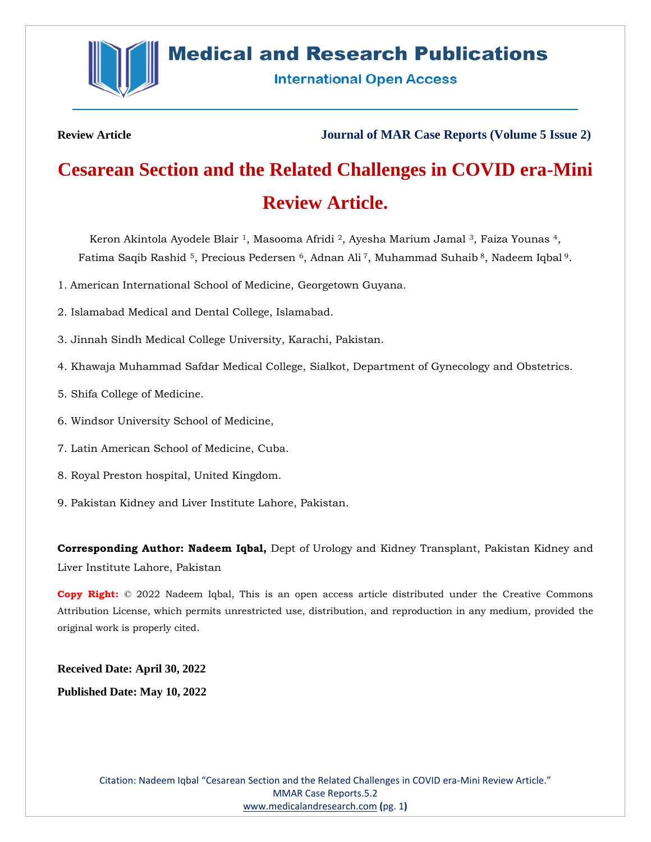

# **Medical and Research Publications**

**International Open Access** 

**Review Article Journal of MAR Case Reports (Volume 5 Issue 2)**

# **Cesarean Section and the Related Challenges in COVID era-Mini Review Article.**

Keron Akintola Ayodele Blair 1, Masooma Afridi 2, Ayesha Marium Jamal <sup>3</sup>, Faiza Younas <sup>4</sup>, Fatima Saqib Rashid <sup>5</sup>, Precious Pedersen <sup>6</sup>, Adnan Ali <sup>7</sup>, Muhammad Suhaib <sup>8</sup>, Nadeem Iqbal <sup>9</sup>.

- 1. American International School of Medicine, Georgetown Guyana.
- 2. Islamabad Medical and Dental College, Islamabad.
- 3. Jinnah Sindh Medical College University, Karachi, Pakistan.
- 4. Khawaja Muhammad Safdar Medical College, Sialkot, Department of Gynecology and Obstetrics.
- 5. Shifa College of Medicine.
- 6. Windsor University School of Medicine,
- 7. Latin American School of Medicine, Cuba.
- 8. Royal Preston hospital, United Kingdom.
- 9. Pakistan Kidney and Liver Institute Lahore, Pakistan.

**Corresponding Author: Nadeem Iqbal,** Dept of Urology and Kidney Transplant, Pakistan Kidney and Liver Institute Lahore, Pakistan

**Copy Right:** © 2022 Nadeem Iqbal, This is an open access article distributed under the Creative Commons Attribution License, which permits unrestricted use, distribution, and reproduction in any medium, provided the original work is properly cited.

**Received Date: April 30, 2022 Published Date: May 10, 2022**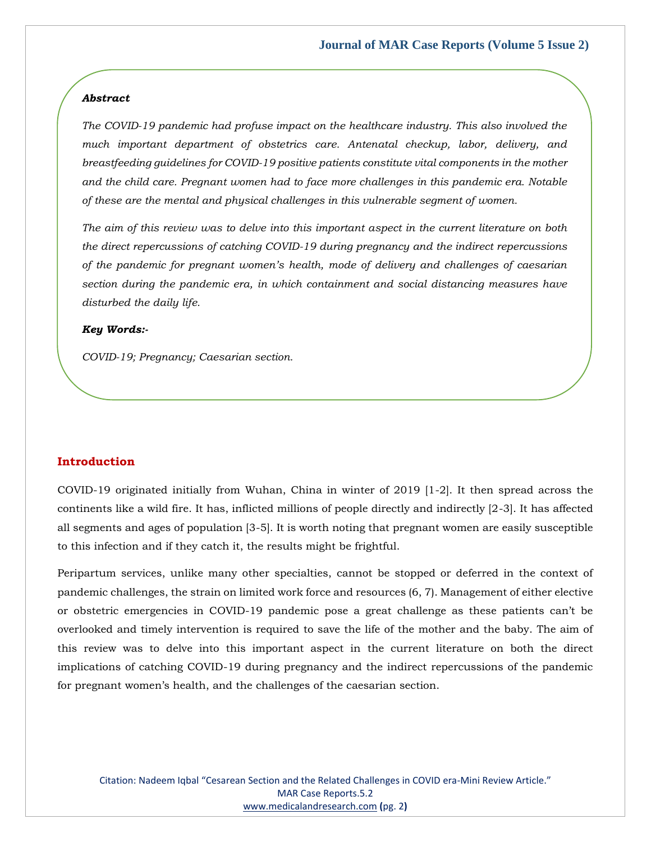#### *Abstract*

*The COVID-19 pandemic had profuse impact on the healthcare industry. This also involved the much important department of obstetrics care. Antenatal checkup, labor, delivery, and breastfeeding guidelines for COVID-19 positive patients constitute vital components in the mother and the child care. Pregnant women had to face more challenges in this pandemic era. Notable of these are the mental and physical challenges in this vulnerable segment of women.* 

*The aim of this review was to delve into this important aspect in the current literature on both the direct repercussions of catching COVID-19 during pregnancy and the indirect repercussions of the pandemic for pregnant women's health, mode of delivery and challenges of caesarian section during the pandemic era, in which containment and social distancing measures have disturbed the daily life.*

#### *Key Words:-*

*COVID-19; Pregnancy; Caesarian section.*

### **Introduction**

COVID-19 originated initially from Wuhan, China in winter of 2019 [1-2]. It then spread across the continents like a wild fire. It has, inflicted millions of people directly and indirectly [2-3]. It has affected all segments and ages of population [3-5]. It is worth noting that pregnant women are easily susceptible to this infection and if they catch it, the results might be frightful.

Peripartum services, unlike many other specialties, cannot be stopped or deferred in the context of pandemic challenges, the strain on limited work force and resources (6, 7). Management of either elective or obstetric emergencies in COVID-19 pandemic pose a great challenge as these patients can't be overlooked and timely intervention is required to save the life of the mother and the baby. The aim of this review was to delve into this important aspect in the current literature on both the direct implications of catching COVID-19 during pregnancy and the indirect repercussions of the pandemic for pregnant women's health, and the challenges of the caesarian section.

Citation: Nadeem Iqbal "Cesarean Section and the Related Challenges in COVID era-Mini Review Article." MAR Case Reports.5.2 [www.medicalandresearch.com](http://www.medicalandresearch.com/) **(**pg. 2**)**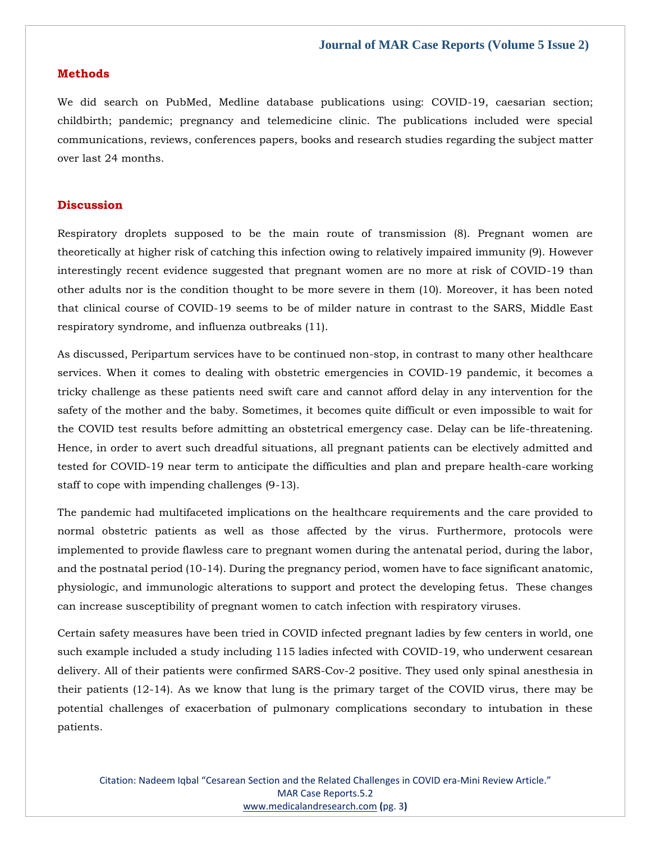#### **Methods**

We did search on PubMed, Medline database publications using: COVID-19, caesarian section; childbirth; pandemic; pregnancy and telemedicine clinic. The publications included were special communications, reviews, conferences papers, books and research studies regarding the subject matter over last 24 months.

#### **Discussion**

Respiratory droplets supposed to be the main route of transmission (8). Pregnant women are theoretically at higher risk of catching this infection owing to relatively impaired immunity (9). However interestingly recent evidence suggested that pregnant women are no more at risk of COVID-19 than other adults nor is the condition thought to be more severe in them (10). Moreover, it has been noted that clinical course of COVID-19 seems to be of milder nature in contrast to the SARS, Middle East respiratory syndrome, and influenza outbreaks (11).

As discussed, Peripartum services have to be continued non-stop, in contrast to many other healthcare services. When it comes to dealing with obstetric emergencies in COVID-19 pandemic, it becomes a tricky challenge as these patients need swift care and cannot afford delay in any intervention for the safety of the mother and the baby. Sometimes, it becomes quite difficult or even impossible to wait for the COVID test results before admitting an obstetrical emergency case. Delay can be life-threatening. Hence, in order to avert such dreadful situations, all pregnant patients can be electively admitted and tested for COVID-19 near term to anticipate the difficulties and plan and prepare health-care working staff to cope with impending challenges (9-13).

The pandemic had multifaceted implications on the healthcare requirements and the care provided to normal obstetric patients as well as those affected by the virus. Furthermore, protocols were implemented to provide flawless care to pregnant women during the antenatal period, during the labor, and the postnatal period (10-14). During the pregnancy period, women have to face significant anatomic, physiologic, and immunologic alterations to support and protect the developing fetus. These changes can increase susceptibility of pregnant women to catch infection with respiratory viruses.

Certain safety measures have been tried in COVID infected pregnant ladies by few centers in world, one such example included a study including 115 ladies infected with COVID-19, who underwent cesarean delivery. All of their patients were confirmed SARS-Cov-2 positive. They used only spinal anesthesia in their patients (12-14). As we know that lung is the primary target of the COVID virus, there may be potential challenges of exacerbation of pulmonary complications secondary to intubation in these patients.

Citation: Nadeem Iqbal "Cesarean Section and the Related Challenges in COVID era-Mini Review Article." MAR Case Reports.5.2 [www.medicalandresearch.com](http://www.medicalandresearch.com/) **(**pg. 3**)**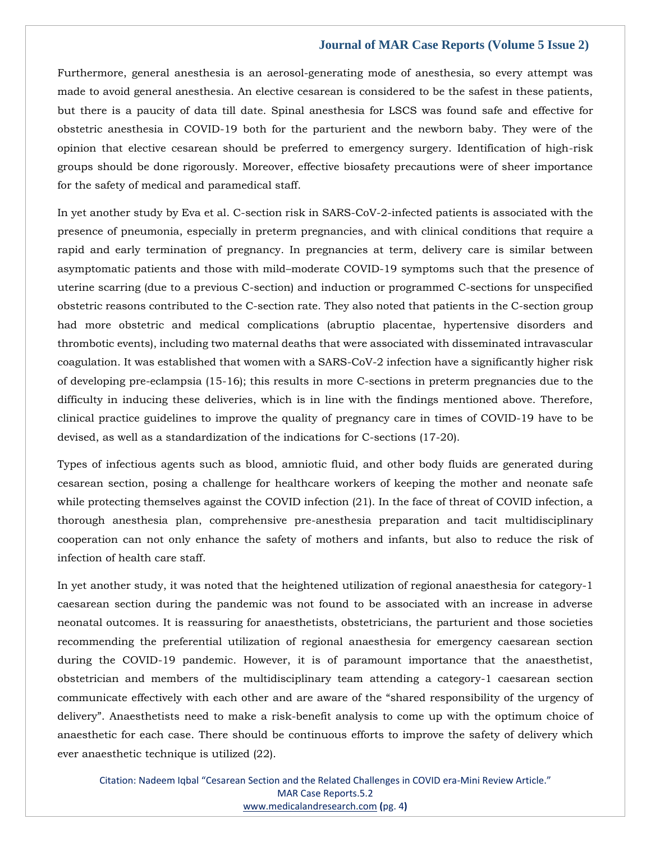#### **Journal of MAR Case Reports (Volume 5 Issue 2)**

Furthermore, general anesthesia is an aerosol-generating mode of anesthesia, so every attempt was made to avoid general anesthesia. An elective cesarean is considered to be the safest in these patients, but there is a paucity of data till date. Spinal anesthesia for LSCS was found safe and effective for obstetric anesthesia in COVID-19 both for the parturient and the newborn baby. They were of the opinion that elective cesarean should be preferred to emergency surgery. Identification of high-risk groups should be done rigorously. Moreover, effective biosafety precautions were of sheer importance for the safety of medical and paramedical staff.

In yet another study by Eva et al. C-section risk in SARS-CoV-2-infected patients is associated with the presence of pneumonia, especially in preterm pregnancies, and with clinical conditions that require a rapid and early termination of pregnancy. In pregnancies at term, delivery care is similar between asymptomatic patients and those with mild–moderate COVID-19 symptoms such that the presence of uterine scarring (due to a previous C-section) and induction or programmed C-sections for unspecified obstetric reasons contributed to the C-section rate. They also noted that patients in the C-section group had more obstetric and medical complications (abruptio placentae, hypertensive disorders and thrombotic events), including two maternal deaths that were associated with disseminated intravascular coagulation. It was established that women with a SARS-CoV-2 infection have a significantly higher risk of developing pre-eclampsia (15-16); this results in more C-sections in preterm pregnancies due to the difficulty in inducing these deliveries, which is in line with the findings mentioned above. Therefore, clinical practice guidelines to improve the quality of pregnancy care in times of COVID-19 have to be devised, as well as a standardization of the indications for C-sections (17-20).

Types of infectious agents such as blood, amniotic fluid, and other body fluids are generated during cesarean section, posing a challenge for healthcare workers of keeping the mother and neonate safe while protecting themselves against the COVID infection (21). In the face of threat of COVID infection, a thorough anesthesia plan, comprehensive pre-anesthesia preparation and tacit multidisciplinary cooperation can not only enhance the safety of mothers and infants, but also to reduce the risk of infection of health care staff.

In yet another study, it was noted that the heightened utilization of regional anaesthesia for category-1 caesarean section during the pandemic was not found to be associated with an increase in adverse neonatal outcomes. It is reassuring for anaesthetists, obstetricians, the parturient and those societies recommending the preferential utilization of regional anaesthesia for emergency caesarean section during the COVID-19 pandemic. However, it is of paramount importance that the anaesthetist, obstetrician and members of the multidisciplinary team attending a category-1 caesarean section communicate effectively with each other and are aware of the "shared responsibility of the urgency of delivery". Anaesthetists need to make a risk-benefit analysis to come up with the optimum choice of anaesthetic for each case. There should be continuous efforts to improve the safety of delivery which ever anaesthetic technique is utilized (22).

Citation: Nadeem Iqbal "Cesarean Section and the Related Challenges in COVID era-Mini Review Article." MAR Case Reports.5.2 [www.medicalandresearch.com](http://www.medicalandresearch.com/) **(**pg. 4**)**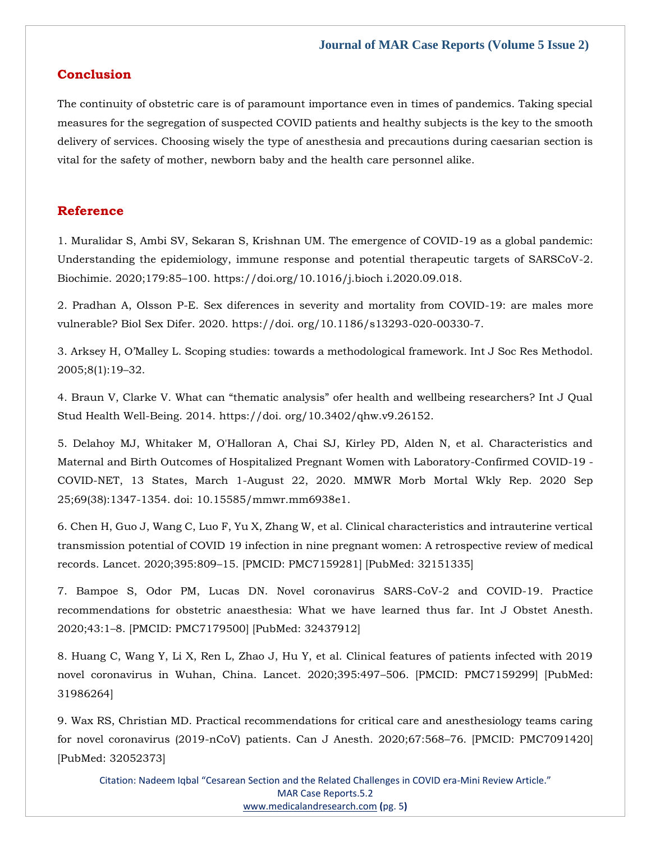# **Conclusion**

The continuity of obstetric care is of paramount importance even in times of pandemics. Taking special measures for the segregation of suspected COVID patients and healthy subjects is the key to the smooth delivery of services. Choosing wisely the type of anesthesia and precautions during caesarian section is vital for the safety of mother, newborn baby and the health care personnel alike.

# **Reference**

[1. Muralidar S, Ambi SV, Sekaran S, Krishnan UM. The emergence of COVID-19 as a global pandemic:](file:///C:/Users/Arief%20Mahimudh/Desktop/April/CR/1.%20Muralidar%20S,%20Ambi%20SV,%20Sekaran%20S,%20Krishnan%20UM.%20The%20emergence%20of%20COVID-19%20as%20a%20global%20pandemic:%20Understanding%20the%20epidemiology,%20immune%20response%20and%20potential%20therapeutic%20targets%20of%20SARSCoV-2.%20Biochimie.%202020;179:85–100.%20https:/doi.org/10.1016/j.bioch%20i.2020.09.018.)  [Understanding the epidemiology, immune response and potential therapeutic targets of SARSCoV-2.](file:///C:/Users/Arief%20Mahimudh/Desktop/April/CR/1.%20Muralidar%20S,%20Ambi%20SV,%20Sekaran%20S,%20Krishnan%20UM.%20The%20emergence%20of%20COVID-19%20as%20a%20global%20pandemic:%20Understanding%20the%20epidemiology,%20immune%20response%20and%20potential%20therapeutic%20targets%20of%20SARSCoV-2.%20Biochimie.%202020;179:85–100.%20https:/doi.org/10.1016/j.bioch%20i.2020.09.018.)  Biochimie. 2020;179:85–[100. https://doi.org/10.1016/j.bioch i.2020.09.018.](file:///C:/Users/Arief%20Mahimudh/Desktop/April/CR/1.%20Muralidar%20S,%20Ambi%20SV,%20Sekaran%20S,%20Krishnan%20UM.%20The%20emergence%20of%20COVID-19%20as%20a%20global%20pandemic:%20Understanding%20the%20epidemiology,%20immune%20response%20and%20potential%20therapeutic%20targets%20of%20SARSCoV-2.%20Biochimie.%202020;179:85–100.%20https:/doi.org/10.1016/j.bioch%20i.2020.09.018.)

[2. Pradhan A, Olsson P-E. Sex diferences in severity and mortality from COVID-19: are males more](file:///C:/Users/Arief%20Mahimudh/Desktop/April/CR/2.%20Pradhan%20A,%20Olsson%20P-E.%20Sex%20diferences%20in%20severity%20and%20mortality%20from%20COVID-19:%20are%20males%20more%20vulnerable%3f%20Biol%20Sex%20Difer.%202020.%20https:/doi.%20org/10.1186/s13293-020-00330-7)  [vulnerable? Biol Sex Difer. 2020. https://doi. org/10.1186/s13293-020-00330-7.](file:///C:/Users/Arief%20Mahimudh/Desktop/April/CR/2.%20Pradhan%20A,%20Olsson%20P-E.%20Sex%20diferences%20in%20severity%20and%20mortality%20from%20COVID-19:%20are%20males%20more%20vulnerable%3f%20Biol%20Sex%20Difer.%202020.%20https:/doi.%20org/10.1186/s13293-020-00330-7)

3. Arksey H, O'Malley L. Scoping [studies: towards a methodological framework. Int J Soc Res Methodol.](https://www.google.com/search?q=Scoping+studies%3A+towards+a+methodological+framework&oq=Scoping+studies%3A+towards+a+methodological+framework&aqs=chrome..69i57.446j0j9&sourceid=chrome&ie=UTF-8)  [2005;8\(1\):19](https://www.google.com/search?q=Scoping+studies%3A+towards+a+methodological+framework&oq=Scoping+studies%3A+towards+a+methodological+framework&aqs=chrome..69i57.446j0j9&sourceid=chrome&ie=UTF-8)–32.

[4. Braun V, Clarke V. What can "thematic analysis" ofer health and wellbeing researchers? Int J Qual](file:///C:/Users/Arief%20Mahimudh/Desktop/April/CR/4.%20Braun%20V,%20Clarke%20V.%20What%20can)  [Stud Health Well-Being. 2014. https://doi. org/10.3402/qhw.v9.26152.](file:///C:/Users/Arief%20Mahimudh/Desktop/April/CR/4.%20Braun%20V,%20Clarke%20V.%20What%20can)

[5. Delahoy MJ, Whitaker M, O'Halloran A, Chai SJ, Kirley PD, Alden N, et al. Characteristics and](https://www.google.com/search?q=Characteristics+and+Maternal+and+Birth+Outcomes+of+Hospitalized+Pregnant+Women+with+Laboratory-Confirmed+COVID-19+-+COVID-NET%2C+13+States%2C+March+1-August+22%2C+2020&sxsrf=ALiCzsYwCX-_zj54YttW3q-a0ozu_c1tug%3A1651732229994&ei=BW9zYqm0PLueseMP4pO8sAk&ved=0ahUKEwjpytSG3sf3AhU7T2wGHeIJD5YQ4dUDCA4&oq=Characteristics+and+Maternal+and+Birth+Outcomes+of+Hospitalized+Pregnant+Women+with+Laboratory-Confirmed+COVID-19+-+COVID-NET%2C+13+States%2C+March+1-August+22%2C+2020&gs_lcp=Cgdnd3Mtd2l6EAwyBwgjEOoCECcyBwgjEOoCECcyBwgjEOoCECcyBwgjEOoCECcyBwgjEOoCECcyBwgjEOoCECcyBwgjEOoCECcyBwgjEOoCECcyBwgjEOoCECcyBwgjEOoCECdKBAhBGABKBAhGGABQvAZYvAZgowhoAXABeACAAQCIAQCSAQCYAQCgAQGgAQKwAQrAAQE&sclient=gws-wiz)  [Maternal and Birth Outcomes of Hospitalized Pregnant Women with Laboratory-Confirmed COVID-19 -](https://www.google.com/search?q=Characteristics+and+Maternal+and+Birth+Outcomes+of+Hospitalized+Pregnant+Women+with+Laboratory-Confirmed+COVID-19+-+COVID-NET%2C+13+States%2C+March+1-August+22%2C+2020&sxsrf=ALiCzsYwCX-_zj54YttW3q-a0ozu_c1tug%3A1651732229994&ei=BW9zYqm0PLueseMP4pO8sAk&ved=0ahUKEwjpytSG3sf3AhU7T2wGHeIJD5YQ4dUDCA4&oq=Characteristics+and+Maternal+and+Birth+Outcomes+of+Hospitalized+Pregnant+Women+with+Laboratory-Confirmed+COVID-19+-+COVID-NET%2C+13+States%2C+March+1-August+22%2C+2020&gs_lcp=Cgdnd3Mtd2l6EAwyBwgjEOoCECcyBwgjEOoCECcyBwgjEOoCECcyBwgjEOoCECcyBwgjEOoCECcyBwgjEOoCECcyBwgjEOoCECcyBwgjEOoCECcyBwgjEOoCECcyBwgjEOoCECdKBAhBGABKBAhGGABQvAZYvAZgowhoAXABeACAAQCIAQCSAQCYAQCgAQGgAQKwAQrAAQE&sclient=gws-wiz) [COVID-NET, 13 States, March 1-August 22, 2020. MMWR Morb](https://www.google.com/search?q=Characteristics+and+Maternal+and+Birth+Outcomes+of+Hospitalized+Pregnant+Women+with+Laboratory-Confirmed+COVID-19+-+COVID-NET%2C+13+States%2C+March+1-August+22%2C+2020&sxsrf=ALiCzsYwCX-_zj54YttW3q-a0ozu_c1tug%3A1651732229994&ei=BW9zYqm0PLueseMP4pO8sAk&ved=0ahUKEwjpytSG3sf3AhU7T2wGHeIJD5YQ4dUDCA4&oq=Characteristics+and+Maternal+and+Birth+Outcomes+of+Hospitalized+Pregnant+Women+with+Laboratory-Confirmed+COVID-19+-+COVID-NET%2C+13+States%2C+March+1-August+22%2C+2020&gs_lcp=Cgdnd3Mtd2l6EAwyBwgjEOoCECcyBwgjEOoCECcyBwgjEOoCECcyBwgjEOoCECcyBwgjEOoCECcyBwgjEOoCECcyBwgjEOoCECcyBwgjEOoCECcyBwgjEOoCECcyBwgjEOoCECdKBAhBGABKBAhGGABQvAZYvAZgowhoAXABeACAAQCIAQCSAQCYAQCgAQGgAQKwAQrAAQE&sclient=gws-wiz) Mortal Wkly Rep. 2020 Sep [25;69\(38\):1347-1354. doi: 10.15585/mmwr.mm6938e1.](https://www.google.com/search?q=Characteristics+and+Maternal+and+Birth+Outcomes+of+Hospitalized+Pregnant+Women+with+Laboratory-Confirmed+COVID-19+-+COVID-NET%2C+13+States%2C+March+1-August+22%2C+2020&sxsrf=ALiCzsYwCX-_zj54YttW3q-a0ozu_c1tug%3A1651732229994&ei=BW9zYqm0PLueseMP4pO8sAk&ved=0ahUKEwjpytSG3sf3AhU7T2wGHeIJD5YQ4dUDCA4&oq=Characteristics+and+Maternal+and+Birth+Outcomes+of+Hospitalized+Pregnant+Women+with+Laboratory-Confirmed+COVID-19+-+COVID-NET%2C+13+States%2C+March+1-August+22%2C+2020&gs_lcp=Cgdnd3Mtd2l6EAwyBwgjEOoCECcyBwgjEOoCECcyBwgjEOoCECcyBwgjEOoCECcyBwgjEOoCECcyBwgjEOoCECcyBwgjEOoCECcyBwgjEOoCECcyBwgjEOoCECcyBwgjEOoCECdKBAhBGABKBAhGGABQvAZYvAZgowhoAXABeACAAQCIAQCSAQCYAQCgAQGgAQKwAQrAAQE&sclient=gws-wiz)

6. Chen H, Guo J, Wang C, Luo F, Yu X, Zhang W, et al. Clinical characteristics and intrauterine vertical transmission potential of COVID 19 infection in nine pregnant women: A retrospective review of medical records. Lancet. 2020;395:809–15. [PMCID: PMC7159281] [PubMed: 32151335]

7. Bampoe S, Odor PM, Lucas DN. Novel coronavirus SARS-CoV-2 and COVID-19. Practice recommendations for obstetric anaesthesia: What we have learned thus far. Int J Obstet Anesth. 2020;43:1–8. [PMCID: PMC7179500] [PubMed: 32437912]

8. Huang C, Wang Y, Li X, Ren L, Zhao J, Hu Y, et al. Clinical features of patients infected with 2019 novel coronavirus in Wuhan, China. Lancet. 2020;395:497–506. [PMCID: PMC7159299] [PubMed: 31986264]

9. Wax RS, Christian MD. Practical recommendations for critical care and anesthesiology teams caring for novel coronavirus (2019-nCoV) patients. Can J Anesth. 2020;67:568–76. [PMCID: PMC7091420] [PubMed: 32052373]

Citation: Nadeem Iqbal "Cesarean Section and the Related Challenges in COVID era-Mini Review Article." MAR Case Reports.5.2 [www.medicalandresearch.com](http://www.medicalandresearch.com/) **(**pg. 5**)**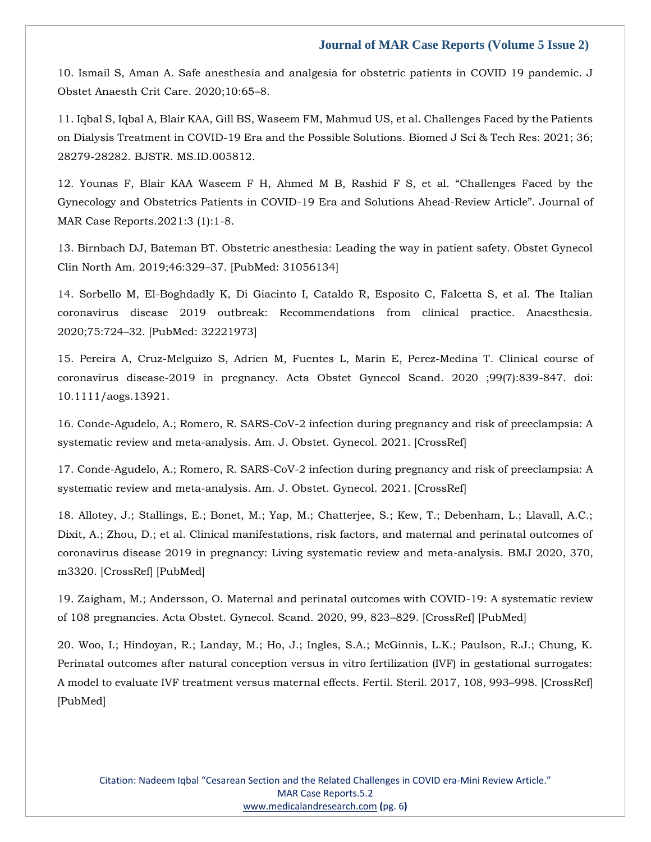#### **Journal of MAR Case Reports (Volume 5 Issue 2)**

10. Ismail S, Aman A. Safe anesthesia and analgesia for obstetric patients in COVID 19 pandemic. J Obstet Anaesth Crit Care. 2020;10:65–8.

11. Iqbal S, Iqbal A, Blair KAA, Gill BS, Waseem FM, Mahmud US, et al. Challenges Faced by the Patients on Dialysis Treatment in COVID-19 Era and the Possible Solutions. Biomed J Sci & Tech Res: 2021; 36; 28279-28282. BJSTR. MS.ID.005812.

12. Younas F, Blair KAA Waseem F H, Ahmed M B, Rashid F S, et al. "Challenges Faced by the Gynecology and Obstetrics Patients in COVID-19 Era and Solutions Ahead-Review Article". Journal of MAR Case Reports.2021:3 (1):1-8.

13. Birnbach DJ, Bateman BT. Obstetric anesthesia: Leading the way in patient safety. Obstet Gynecol Clin North Am. 2019;46:329–37. [PubMed: 31056134]

14. Sorbello M, El-Boghdadly K, Di Giacinto I, Cataldo R, Esposito C, Falcetta S, et al. The Italian coronavirus disease 2019 outbreak: Recommendations from clinical practice. Anaesthesia. 2020;75:724–32. [PubMed: 32221973]

15. Pereira A, Cruz-Melguizo S, Adrien M, Fuentes L, Marin E, Perez-Medina T. Clinical course of coronavirus disease-2019 in pregnancy. Acta Obstet Gynecol Scand. 2020 ;99(7):839-847. doi: 10.1111/aogs.13921.

16. Conde-Agudelo, A.; Romero, R. SARS-CoV-2 infection during pregnancy and risk of preeclampsia: A systematic review and meta-analysis. Am. J. Obstet. Gynecol. 2021. [CrossRef]

17. Conde-Agudelo, A.; Romero, R. SARS-CoV-2 infection during pregnancy and risk of preeclampsia: A systematic review and meta-analysis. Am. J. Obstet. Gynecol. 2021. [CrossRef]

18. Allotey, J.; Stallings, E.; Bonet, M.; Yap, M.; Chatterjee, S.; Kew, T.; Debenham, L.; Llavall, A.C.; Dixit, A.; Zhou, D.; et al. Clinical manifestations, risk factors, and maternal and perinatal outcomes of coronavirus disease 2019 in pregnancy: Living systematic review and meta-analysis. BMJ 2020, 370, m3320. [CrossRef] [PubMed]

19. Zaigham, M.; Andersson, O. Maternal and perinatal outcomes with COVID-19: A systematic review of 108 pregnancies. Acta Obstet. Gynecol. Scand. 2020, 99, 823–829. [CrossRef] [PubMed]

20. Woo, I.; Hindoyan, R.; Landay, M.; Ho, J.; Ingles, S.A.; McGinnis, L.K.; Paulson, R.J.; Chung, K. Perinatal outcomes after natural conception versus in vitro fertilization (IVF) in gestational surrogates: A model to evaluate IVF treatment versus maternal effects. Fertil. Steril. 2017, 108, 993–998. [CrossRef] [PubMed]